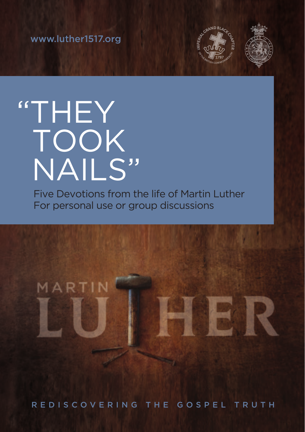www.luther1517.org



# "THEY TOOK NAILS"

Five Devotions from the life of Martin Luther For personal use or group discussions



REDISCOVERING THE GOSPEL TRUTH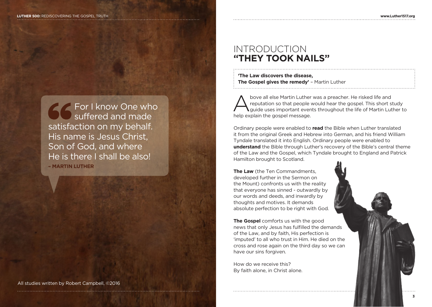For I know One who suffered and made satisfaction on my behalf. His name is Jesus Christ, Son of God, and where He is there I shall be also! **– MARTIN LUTHER**

#### All studies written by Robert Campbell, ©2016

# INTRODUCTION **"THEY TOOK NAILS"**

| 'The Law discovers the disease,              |
|----------------------------------------------|
| The Gospel gives the remedy' - Martin Luther |

Above all else Martin Luther was a preacher. He risked life and<br>reputation so that people would hear the gospel. This short study<br>guide uses important events throughout the life of Martin Luther to reputation so that people would hear the gospel. This short study help explain the gospel message.

Ordinary people were enabled to **read** the Bible when Luther translated it from the original Greek and Hebrew into German, and his friend William Tyndale translated it into English. Ordinary people were enabled to **understand** the Bible through Luther's recovery of the Bible's central theme of the Law and the Gospel, which Tyndale brought to England and Patrick Hamilton brought to Scotland.

**The Law** (the Ten Commandments, developed further in the Sermon on the Mount) confronts us with the reality that everyone has sinned - outwardly by our words and deeds, and inwardly by thoughts and motives. It demands absolute perfection to be right with God.

**The Gospel** comforts us with the good news that only Jesus has fulfilled the demands of the Law, and by faith, His perfection is 'imputed' to all who trust in Him. He died on the cross and rose again on the third day so we can have our sins forgiven.

How do we receive this? By faith alone, in Christ alone.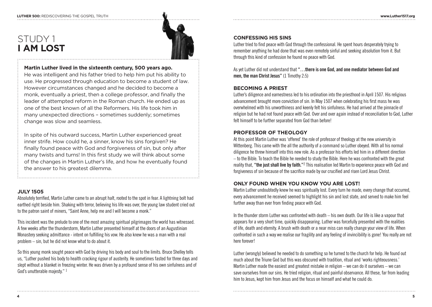# STUDY 1 **I AM LOST**



#### **Martin Luther lived in the sixteenth century, 500 years ago.**

He was intelligent and his father tried to help him put his ability to use. He progressed through education to become a student of law. However circumstances changed and he decided to become a monk, eventually a priest, then a college professor, and finally the leader of attempted reform in the Roman church. He ended up as one of the best known of all the Reformers. His life took him in many unexpected directions – sometimes suddenly; sometimes change was slow and seamless.

In spite of his outward success, Martin Luther experienced great inner strife. How could he, a sinner, know his sins forgiven? He finally found peace with God and forgiveness of sin, but only after many twists and turns! In this first study we will think about some of the changes in Martin Luther's life, and how he eventually found the answer to his greatest dilemma.

#### **JULY 1505**

Absolutely terrified, Martin Luther came to an abrupt halt, rooted to the spot in fear. A lightning bolt had earthed right beside him. Shaking with terror, believing his life was over, the young law student cried out to the patron saint of miners, "Saint Anne, help me and I will become a monk."

This incident was the prelude to one of the most amazing spiritual pilgrimages the world has witnessed. A few weeks after the thunderstorm, Martin Luther presented himself at the doors of an Augustinian Monastery seeking admittance - intent on fulfilling his vow. He also knew he was a man with a real problem – sin, but he did not know what to do about it.

So this young monk sought peace with God by driving his body and soul to the limits. Bruce Shelley tells us, "Luther pushed his body to health cracking rigour of austerity. He sometimes fasted for three days and slept without a blanket in freezing winter. He was driven by a profound sense of his own sinfulness and of God's unutterable majesty." 1

#### **CONFESSING HIS SINS**

Luther tried to find peace with God through the confessional. He spent hours desperately trying to remember anything he had done that was even remotely sinful and seeking absolution from it. But through this kind of confession he found no peace with God.

As yet Luther did not understand that **"…there is one God, and one mediator between God and men, the man Christ Jesus"** (1 Timothy 2:5)

#### **BECOMING A PRIEST**

Luther's diligence and earnestness led to his ordination into the priesthood in April 1507. His religious advancement brought more conviction of sin. In May 1507 when celebrating his first mass he was overwhelmed with his unworthiness and keenly felt his sinfulness. He had arrived at the pinnacle of religion but he had not found peace with God. Over and over again instead of reconciliation to God, Luther felt himself to be further separated from God than before!

#### **PROFESSOR OF THEOLOGY**

At this point Martin Luther was 'offered' the role of professor of theology at the new university in Wittenberg. This came with the all the authority of a command so Luther obeyed. With all his normal diligence he threw himself into this new role. As a professor his efforts led him in a different direction – to the Bible. To teach the Bible he needed to study the Bible. Here he was confronted with the great reality that, "the just shall live by faith."<sup>2</sup> This realisation led Martin to experience peace with God and forgiveness of sin because of the sacrifice made by our crucified and risen Lord Jesus Christ.

#### **ONLY FOUND WHEN YOU KNOW YOU ARE LOST!**

Martin Luther undoubtedly knew he was spiritually lost. Every turn he made, every change that occurred, every advancement he received seemed to highlight his sin and lost state, and served to make him feel further away than ever from finding peace with God.

In the thunder storm Luther was confronted with death – his own death. Our life is like a vapour that appears for a very short time, quickly disappearing. Luther was forcefully presented with the realities of life, death and eternity. A brush with death or a near miss can really change your view of life. When confronted in such a way we realise our fragility and any feeling of invincibility is gone! You really are not here forever!

Luther (wrongly) believed he needed to do something so he turned to the church for help. He found out much about the Triune God but this was obscured with tradition, ritual and 'works righteousness.' Martin Luther made the easiest and greatest mistake in religion – we can do it ourselves – we can save ourselves from our sins. He tried religion, ritual and painful observance. All these, far from leading him to Jesus, kept him from Jesus and the focus on himself and what he could do.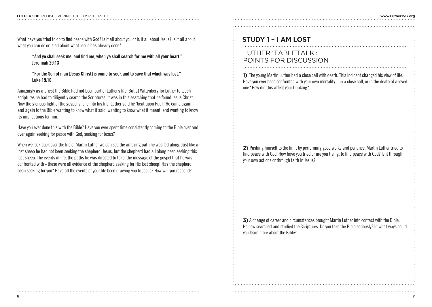What have you tried to do to find peace with God? Is it all about you or is it all about Jesus? Is it all about what you can do or is all about what Jesus has already done?

#### **"And ye shall seek me, and find me, when ye shall search for me with all your heart." Jeremiah 29:13**

**"For the Son of man [Jesus Christ] is come to seek and to save that which was lost." Luke 19:10**

Amazingly as a priest the Bible had not been part of Luther's life. But at Wittenberg for Luther to teach scriptures he had to diligently search the Scriptures. It was in this searching that he found Jesus Christ. Now the glorious light of the gospel shone into his life. Luther said he 'beat upon Paul.' He came again and again to the Bible wanting to know what it said, wanting to know what it meant, and wanting to know its implications for him.

Have you ever done this with the Bible? Have you ever spent time consistently coming to the Bible over and over again seeking for peace with God, seeking for Jesus?

When we look back over the life of Martin Luther we can see the amazing path he was led along. Just like a lost sheep he had not been seeking the shepherd, Jesus, but the shepherd had all along been seeking this lost sheep. The events in life, the paths he was directed to take, the message of the gospel that he was confronted with - these were all evidence of the shepherd seeking for His lost sheep! Has the shepherd been seeking for you? Have all the events of your life been drawing you to Jesus? How will you respond?

# **STUDY 1 – I AM LOST**

### LUTHER 'TABLETALK': POINTS FOR DISCUSSION

**1)** The young Martin Luther had a close call with death. This incident changed his view of life. Have you ever been confronted with your own mortality – in a close call, or in the death of a loved one? How did this affect your thinking?

**2)** Pushing himself to the limit by performing good works and penance, Martin Luther tried to find peace with God. How have you tried or are you trying, to find peace with God? Is it through your own actions or through faith in Jesus?

**3)** A change of career and circumstances brought Martin Luther into contact with the Bible. He now searched and studied the Scriptures. Do you take the Bible seriously? In what ways could you learn more about the Bible?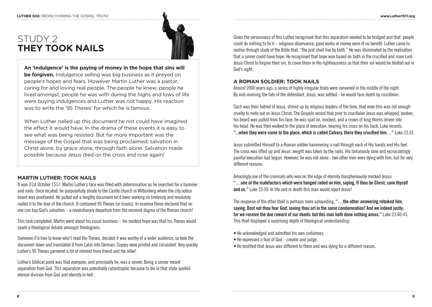# STUDY 2 **THEY TOOK NAILS**



**An 'indulgence' is the paying of money in the hope that sins will be forgiven.** Indulgence selling was big business as it preyed on people's hopes and fears. However Martin Luther was a pastor, caring for and loving real people. The people he knew, people he lived amongst, people he was with during the highs and lows of life were buying indulgences and Luther was not happy. His reaction was to write the '95 Theses' for which he is famous.

When Luther nailed up this document he not could have imagined the effect it would have. In the drama of these events it is easy to see what was being resisted. But far more important was the message of the Gospel that was being proclaimed: salvation in Christ alone, by grace alone, through faith alone. Salvation made possible because Jesus died on the cross and rose again!

#### **MARTIN LUTHER: TOOK NAILS**

It was 31st October 1517. Martin Luther's face was filled with determination as he searched for a hammer and nails. Once located, he purposefully strode to the Castle church in Wittenberg where the city notice board was positioned. He pulled out a lengthy document he'd been working on tirelessly and resolutely nailed it to the door of the church. It contained 95 Theses (or issues). In essence these declared that no one can buy God's salvation – a revolutionary departure from the received dogma of the Roman church!

This task completed, Martin went about his usual business – his modest hope was that his Theses would spark a theological debate amongst theologians.

Someone (I'd love to know who!) read the Theses, decided it was worthy of a wider audience, so took the document down and translated it from Latin into German. Copies were printed and circulated. Very quickly Luther's 95 Theses garnered a lot of interest from friend and foe alike!

Luther's biblical point was that everyone, and principally he, was a sinner. Being a sinner meant separation from God. This separation was potentially catastrophic because to die in that state spelled eternal division from God and eternity in hell.

Given the seriousness of this Luther recognised that this separation needed to be bridged and that people could do nothing to fix it – religious observance, good works or money were of no benefit. Luther came to realise through study of the Bible that, "the just shall live by faith." He was illuminated by the realisation that a sinner could have hope. He recognised that hope was based on faith in the crucified and risen Lord Jesus Christ to forgive their sin, to cover them in His righteousness so that their sin would be blotted out in God's sight.

#### **A ROMAN SOLDIER: TOOK NAILS**

Around 2000 years ago, a series of highly irregular trials were convened in the middle of the night. By mid-morning the fate of the defendant, Jesus, was settled - he would face death by crucifixion.

Such was their hatred of Jesus, stirred up by religious leaders of the time, that even this was not enough cruelty to mete out on Jesus Christ. The Gospels record that prior to crucifixion Jesus was whipped, beaten, his beard was pulled from his face; he was spat on, mocked, and a crown of long thorns driven into his head. He was then walked to the place of execution, bearing his cross on his back. Luke records, **"...when they were come to the place, which is called Calvary, there they crucified him…"** Luke 23:33

Jesus submitted Himself to a Roman soldier hammering a nail through each of His hands and His feet. The cross was lifted up and Jesus' weight was taken by the nails. His torturously slow and excruciatingly painful execution had begun. However, he was not alone - two other men were dying with him, but for very different reasons.

Amazingly one of the criminals who was on the edge of eternity blasphemously mocked Jesus: **"…one of the malefactors which were hanged railed on him, saying, If thou be Christ, save thyself and us."** Luke 23:39. In life and in death this man would reject Jesus!

The response of the other thief is perhaps more astounding, **"…the other answering rebuked him, saying, Dost not thou fear God, seeing thou art in the same condemnation? And we indeed justly; for we receive the due reward of our deeds: but this man hath done nothing amiss."** Luke 23:40-41. This thief displayed a surprising depth of theological understanding:

- He acknowledged and admitted his own sinfulness.
- He expressed a fear of God creator and judge.
- He testified that Jesus was different to them and was dying for a different reason.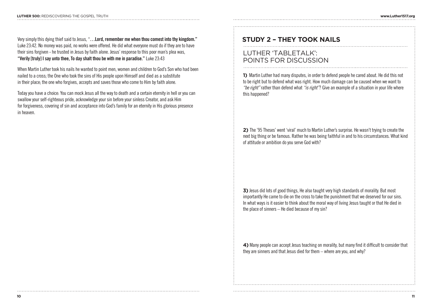Very simply this dying thief said to Jesus, "**…Lord, remember me when thou comest into thy kingdom."**  Luke 23:42. No money was paid, no works were offered. He did what everyone must do if they are to have their sins forgiven - he trusted in Jesus by faith alone. Jesus' response to this poor man's plea was, **"Verily [truly] I say unto thee, To day shalt thou be with me in paradise."** Luke 23:43

When Martin Luther took his nails he wanted to point men, women and children to God's Son who had been nailed to a cross; the One who took the sins of His people upon Himself and died as a substitute in their place; the one who forgives, accepts and saves those who come to Him by faith alone.

Today you have a choice: You can mock Jesus all the way to death and a certain eternity in hell or you can swallow your self-righteous pride, acknowledge your sin before your sinless Creator, and ask Him for forgiveness, covering of sin and acceptance into God's family for an eternity in His glorious presence in heaven.

# **STUDY 2 – THEY TOOK NAILS**

### LUTHER 'TABLETALK': POINTS FOR DISCUSSION

**1)** Martin Luther had many disputes, in order to defend people he cared about. He did this not to be right but to defend what was right. How much damage can be caused when we want to *"be right"* rather than defend what *"is right"*? Give an example of a situation in your life where this happened?

**2)** The '95 Theses' went 'viral' much to Martin Luther's surprise. He wasn't trying to create the next big thing or be famous. Rather he was being faithful in and to his circumstances. What kind of attitude or ambition do you serve God with?

**3)** Jesus did lots of good things, He also taught very high standards of morality. But most importantly He came to die on the cross to take the punishment that we deserved for our sins. In what ways is it easier to think about the moral way of living Jesus taught or that He died in the place of sinners – He died because of my sin?

**4)** Many people can accept Jesus teaching on morality, but many find it difficult to consider that they are sinners and that Jesus died for them – where are you, and why?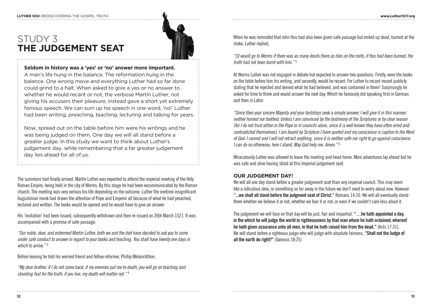**THE JUDGEMENT SEAT**

STUDY 3



# **Seldom in history was a 'yes' or 'no' answer more important.**

A man's life hung in the balance. The reformation hung in the balance. One wrong move and everything Luther had so far done could grind to a halt. When asked to give a yes or no answer to whether he would recant or not, the verbose Martin Luther, not giving his accusers their pleasure, instead gave a short yet extremely famous speech. We can sum up his speech in one word, 'no!' Luther had been writing, preaching, teaching, lecturing and talking for years.

Now, spread out on the table before him were his writings and he was being judged on them. One day we will all stand before a greater judge. In this study we want to think about Luther's judgement day, while remembering that a far greater judgement day lies ahead for all of us.

The summons had finally arrived. Martin Luther was expected to attend the imperial meeting of the Holy Roman Empire, being held in the city of Worms. By this stage he had been excommunicated by the Roman church. The meeting was very serious his life depending on the outcome. Luther the onetime insignificant Augustinian monk had drawn the attention of Pope and Emperor all because of what he had preached, lectured and written. The books would be opened and he would have to give an answer

His 'invitation' had been issued, subsequently withdrawn and then re-issued on 26th March 1521. It was accompanied with a promise of safe passage:

*"Our noble, dear, and esteemed Martin Luther, both we and the diet have decided to ask you to come under safe conduct to answer in regard to your books and teaching. You shall have twenty one days in which to arrive."* <sup>3</sup>

Before leaving he told his worried friend and fellow reformer, Phillip Melanchthon,

*"My dear brother, if I do not come back, if my enemies put me to death, you will go on teaching and standing fast for the truth; if you live, my death will matter not."* <sup>4</sup>

When he was reminded that John Hus had also been given safe passage but ended up dead, burned at the stake, Luther replied,

*"[I] would go to Worms if there was as many devils there as tiles on the roofs; if Hus had been burned, the truth had not been burnt with him."* <sup>5</sup>

At Worms Luther was not engaged in debate but expected to answer two questions. Firstly, were the books on the table before him his writing, and secondly, would he recant. For Luther to recant meant publicly stating that he rejected and denied what he had believed, and was contained in them! Surprisingly he asked for time to think and would answer the next day. Which he famously did speaking first in German, and then in Latin:

*"Since then your sincere Majesty and your lordships seek a simple answer, I will give it in this manner, neither horned nor toothed. Unless I am convinced by the testimony of the Scriptures or by clear reason (for I do not trust either in the Pope or in councils alone, since it is well known they have often erred and contradicted themselves), I am bound by Scripture I have quoted and my conscience is captive to the Word of God. I cannot and I will not retract anything, since it is neither safe nor right to go against conscience. I can do no otherwise, here I stand, May God help me. Amen."* <sup>6</sup>

Miraculously Luther was allowed to leave the meeting and head home. More adventures lay ahead but he was safe and alive having stood at this Imperial judgement seat.

#### **OUR JUDGEMENT DAY!**

We will all one day stand before a greater judgement seat than any imperial council. This may seem like a ridiculous idea, or something so far away in the future we don't need to worry about now. However **"...we shall all stand before the judgment seat of Christ."** Romans 14:10. We will all eventually stand there whether we believe it or not, whether we fear it or not, or even if we couldn't care less about it.

The judgement we will face on that day will be just, fair and impartial. **"…he hath appointed a day, in the which he will judge the world in righteousness by that man whom he hath ordained; whereof he hath given assurance unto all men, in that he hath raised him from the dead."** (Acts 17:31). We will stand before a righteous judge who will judge with absolute fairness, **"Shall not the Judge of all the earth do right?"** (Genesis 18:25)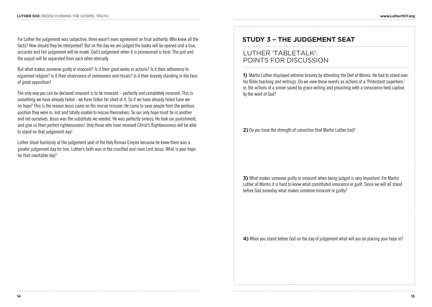For Luther the judgement was subjective, there wasn't even agreement on final authority. Who knew all the facts? How should they be interpreted? But on the day we are judged the books will be opened and a true, accurate and fair judgement will be made. God's judgement when it is pronounced is final. The just and the unjust will be separated from each other eternally.

But what makes someone guilty or innocent? Is it their good works or actions? Is it their adherence to organised religion? Is it their observance of ceremonies and rituals? Is it their bravely standing in the face of great opposition?

The only way you can be declared innocent is to be innocent – perfectly and completely innocent. This is something we have already failed - we have fallen far short of it. So if we have already failed have we no hope? This is the reason Jesus came on His rescue mission. He came to save people from the perilous position they were in, lost and totally unable to rescue themselves. So our only hope must be in another and not ourselves. Jesus was the substitute we needed. He was perfectly sinless, He took our punishment, and give us their perfect righteousness! Only those who have received Christ's Righteousness will be able to stand on that judgement day!

Luther stood fearlessly at the judgement seat of the Holy Roman Empire because he knew there was a greater judgement day for him. Luther's faith was in the crucified and risen Lord Jesus. What is your hope for that inevitable day?

### **STUDY 3 – THE JUDGEMENT SEAT**

### LUTHER 'TABLETALK': POINTS FOR DISCUSSION

**1)** Martin Luther displayed extreme bravery by attending the Diet of Worms. He had to stand over his Bible teaching and writings. Do we view these events as actions of a 'Protestant superhero,' or, the actions of a sinner saved by grace writing and preaching with a conscience held captive by the word of God?

**2)** Do you have the strength of conviction that Martin Luther had?

**3)** What makes someone guilty or innocent when being judged is very important. For Martin Luther at Worms it is hard to know what constituted innocence or guilt. Since we will all stand before God someday what makes someone innocent or guilty?

4) When you stand before God on the day of judgement what will you be placing your hope in?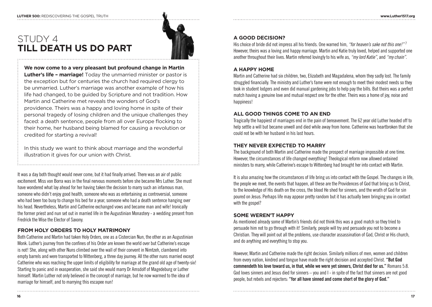# STUDY 4 **TILL DEATH US DO PART**



**We now come to a very pleasant but profound change in Martin Luther's life – marriage!** Today the unmarried minister or pastor is the exception but for centuries the church had required clergy to be unmarried. Luther's marriage was another example of how his life had changed, to be guided by Scripture and not tradition. How Martin and Catherine met reveals the wonders of God's providence. Theirs was a happy and loving home in spite of their personal tragedy of losing children and the unique challenges they faced: a death sentence, people from all over Europe flocking to their home, her husband being blamed for causing a revolution or credited for starting a revival!

In this study we want to think about marriage and the wonderful illustration it gives for our union with Christ.

It was a day both thought would never come, but it had finally arrived. There was an air of public excitement. Miss von Borra was in the final nervous moments before she became Mrs Luther. She must have wondered what lay ahead for her having taken the decision to marry such an infamous man, someone who didn't enjoy good health, someone who was as entertaining as controversial, someone who had been too busy to change his bed for a year, someone who had a death sentence hanging over his head. Nevertheless, Martin and Catherine exchanged vows and became man and wife! Ironically the former priest and nun set out in married life in the Augustinian Monastery - a wedding present from Fredrick the Wise the Elector of Saxony.

#### **FROM HOLY ORDERS TO HOLY MATRIMONY**

Both Catherine and Martin had taken Holy Orders, one as a Cistercian Nun, the other as an Augustinian Monk. Luther's journey from the confines of his Order are known the world over but Catherine's escape is not! She, along with other Nuns climbed over the wall of their convent in Nimtzeh, clambered into empty barrels and were transported to Wittenberg, a three day journey. All the other nuns married except Catherine who was reaching the upper limits of eligibility for marriage at the grand old age of twenty-six! Starting to panic and in exasperation, she said she would marry Dr Amsdolf of Magedeburg or Luther himself. Martin Luther not only believed in the concept of marriage, but he now warmed to the idea of marriage for himself, and to marrying this escapee nun!

#### **A GOOD DECISION?**

His choice of bride did not impress all his friends. One warned him, *"for heaven's sake not this one!"* <sup>7</sup> However, theirs was a loving and happy marriage. Martin and Katie truly loved, helped and supported one another throughout their lives. Martin referred lovingly to his wife as, *"my lord Katie"*, and *"my chain"*.

#### **A HAPPY HOME**

Martin and Catherine had six children, two, Elizabeth and Magadalena, whom they sadly lost. The family struggled financially. The ministry and Luther's fame were not enough to meet their modest needs so they took in student lodgers and even did manual gardening jobs to help pay the bills. But theirs was a perfect match having a genuine love and mutual respect one for the other. Theirs was a home of joy, noise and happiness!

#### **ALL GOOD THINGS COME TO AN END**

Tragically the happiest of marriages end in the pain of bereavement. The 62 year old Luther headed off to help settle a will but became unwell and died while away from home. Catherine was heartbroken that she could not be with her husband in his last hours.

#### **THEY NEVER EXPECTED TO MARRY**

The background of both Martin and Catherine made the prospect of marriage impossible at one time. However, the circumstances of life changed everything! Theological reform now allowed ordained ministers to marry, while Catherine's escape to Wittenberg had brought her into contact with Martin.

It is also amazing how the circumstances of life bring us into contact with the Gospel. The changes in life, the people we meet, the events that happen, all these are the Providences of God that bring us to Christ, to the knowledge of His death on the cross, the blood He shed for sinners, and the wrath of God for sin poured on Jesus. Perhaps life may appear pretty random but it has actually been bringing you in contact with the gospel?

#### **SOME WEREN'T HAPPY**

As mentioned already some of Martin's friends did not think this was a good match so they tried to persuade him not to go through with it! Similarly, people will try and persuade you not to become a Christian. They will point out all the problems, use character assassination of God, Christ or His church, and do anything and everything to stop you.

However, Martin and Catherine made the right decision. Similarly millions of men, women and children from every nation, kindred and tongue have made the right decision and accepted Christ. **"But God commendeth his love toward us, in that, while we were yet sinners, Christ died for us."** Romans 5:8. God loves sinners and Jesus died for sinners – you and I - in spite of the fact that sinners are not good people, but rebels and rejecters: **"for all have sinned and come short of the glory of God."**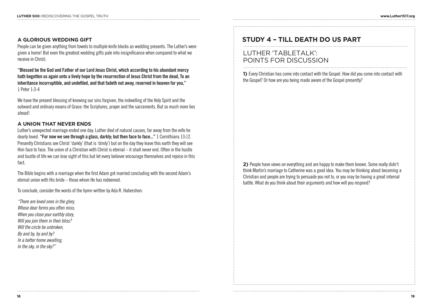#### **A GLORIOUS WEDDING GIFT**

People can be given anything from towels to multiple knife blocks as wedding presents. The Luther's were given a home! But even the greatest wedding gifts pale into insignificance when compared to what we receive in Christ:

**"Blessed be the God and Father of our Lord Jesus Christ, which according to his abundant mercy hath begotten us again unto a lively hope by the resurrection of Jesus Christ from the dead, To an inheritance incorruptible, and undefiled, and that fadeth not away, reserved in heaven for you,"** 1 Peter 1:3-4

We have the present blessing of knowing our sins forgiven, the indwelling of the Holy Spirit and the outward and ordinary means of Grace: the Scriptures, prayer and the sacraments. But so much more lies ahead!

#### **A UNION THAT NEVER ENDS**

Luther's unexpected marriage ended one day. Luther died of natural causes, far away from the wife he dearly loved. **"For now we see through a glass, darkly; but then face to face..."** 1 Corinthians 13:12. Presently Christians see Christ 'darkly' (that is 'dimly') but on the day they leave this earth they will see Him face to face. The union of a Christian with Christ is eternal – it shall never end. Often in the hustle and bustle of life we can lose sight of this but let every believer encourage themselves and rejoice in this fact.

The Bible begins with a marriage when the first Adam got married concluding with the second Adam's eternal union with His bride – those whom He has redeemed.

To conclude, consider the words of the hymn written by Ada R. Habershon:

*"There are loved ones in the glory, Whose dear forms you often miss; When you close your earthly story, Will you join them in their bliss? Will the circle be unbroken, By and by, by and by? In a better home awaiting, In the sky, in the sky?"*

## **STUDY 4 – TILL DEATH DO US PART**

### LUTHER 'TABLETALK': POINTS FOR DISCUSSION

**1)** Every Christian has come into contact with the Gospel. How did you come into contact with the Gospel? Or how are you being made aware of the Gospel presently?

**2)** People have views on everything and are happy to make them known. Some really didn't think Martin's marriage to Catherine was a good idea. You may be thinking about becoming a Christian and people are trying to persuade you not to, or you may be having a great internal battle. What do you think about their arguments and how will you respond?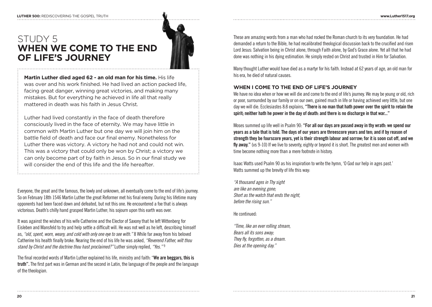# STUDY 5 **WHEN WE COME TO THE END OF LIFE'S JOURNEY**



**Martin Luther died aged 62 - an old man for his time.** His life was over and his work finished. He had lived an action packed life, facing great danger, winning great victories, and making many mistakes. But for everything he achieved in life all that really mattered in death was his faith in Jesus Christ.

Luther had lived constantly in the face of death therefore consciously lived in the face of eternity. We may have little in common with Martin Luther but one day we will join him on the battle field of death and face our final enemy. Nonetheless for Luther there was victory. A victory he had not and could not win. This was a victory that could only be won by Christ; a victory we can only become part of by faith in Jesus. So in our final study we will consider the end of this life and the life hereafter.

Everyone, the great and the famous, the lowly and unknown, all eventually come to the end of life's journey. So on February 18th 1546 Martin Luther the great Reformer met his final enemy. During his lifetime many opponents had been faced down and defeated, but not this one. He encountered a foe that is always victorious. Death's chilly hand grasped Martin Luther; his sojourn upon this earth was over.

It was against the wishes of his wife Catherine and the Elector of Saxony that he left Wittenberg for Eisleben and Mansfeld to try and help settle a difficult will. He was not well as he left, describing himself as, *"old, spent, worn, weary, and cold with only one eye to see with."* 8 While far away from his beloved Catherine his health finally broke. Nearing the end of his life he was asked, *"Reverend Father, wilt thou stand by Christ and the doctrine thou hast proclaimed?"* Luther simply replied, *"Yes."* <sup>9</sup>

The final recorded words of Martin Luther explained his life, ministry and faith: "**We are beggars, this is truth".** The first part was in German and the second in Latin, the language of the people and the language of the theologian.

These are amazing words from a man who had rocked the Roman church to its very foundation. He had demanded a return to the Bible, he had recalibrated theological discussion back to the crucified and risen Lord Jesus: Salvation being in Christ alone, through Faith alone, by God's Grace alone. Yet all that he had done was nothing in his dying estimation. He simply rested on Christ and trusted in Him for Salvation.

Many thought Luther would have died as a martyr for his faith. Instead at 62 years of age, an old man for his era, he died of natural causes.

#### **WHEN I COME TO THE END OF LIFE'S JOURNEY**

We have no idea when or how we will die and come to the end of life's journey. We may be young or old, rich or poor, surrounded by our family or on our own, gained much in life or having achieved very little, but one day we will die. Ecclesiastes 8:8 explains, **"There is no man that hath power over the spirit to retain the spirit; neither hath he power in the day of death: and there is no discharge in that war..."**

Moses summed up life well in Psalm 90: **"For all our days are passed away in thy wrath: we spend our years as a tale that is told. The days of our years are threescore years and ten; and if by reason of strength they be fourscore years, yet is their strength labour and sorrow; for it is soon cut off, and we fly away."** (vs 9-10) If we live to seventy, eighty or beyond it is short. The greatest men and women with time become nothing more than a mere footnote in history.

Isaac Watts used Psalm 90 as his inspiration to write the hymn, 'O God our help in ages past.' Watts summed up the brevity of life this way:

*"A thousand ages in Thy sight are like an evening gone; Short as the watch that ends the night, before the rising sun."*

He continued:

*"Time, like an ever rolling stream, Bears all its sons away; They fly, forgotten, as a dream. Dies at the opening day."*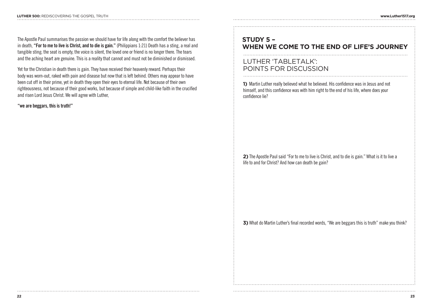The Apostle Paul summarises the passion we should have for life along with the comfort the believer has in death, **"For to me to live is Christ, and to die is gain."** (Philippians 1:21) Death has a sting, a real and tangible sting; the seat is empty, the voice is silent, the loved one or friend is no longer there. The tears and the aching heart are genuine. This is a reality that cannot and must not be diminished or dismissed.

Yet for the Christian in death there is gain. They have received their heavenly reward. Perhaps their body was worn-out, raked with pain and disease but now that is left behind. Others may appear to have been cut off in their prime, yet in death they open their eyes to eternal life. Not because of their own righteousness, not because of their good works, but because of simple and child-like faith in the crucified and risen Lord Jesus Christ. We will agree with Luther,

#### **"we are beggars, this is truth!"**

### **STUDY 5 – WHEN WE COME TO THE END OF LIFE'S JOURNEY**

### LUTHER 'TABLETALK': POINTS FOR DISCUSSION

**1)** Martin Luther really believed what he believed. His confidence was in Jesus and not himself, and this confidence was with him right to the end of his life, where does your confidence lie?

**2)** The Apostle Paul said "For to me to live is Christ, and to die is gain." What is it to live a life to and for Christ? And how can death be gain?

**3)** What do Martin Luther's final recorded words, "We are beggars this is truth" make you think?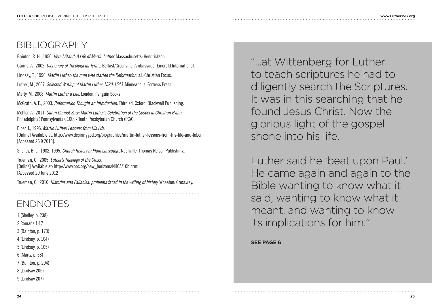# BIBLIOGRAPHY

Bainton, R. H., 1950. *Here I Stand: A Life of Martin Luther.* Massachusetts: Hendrickson.

Cairns, A., 2002. *Dictionary of Theologicial Terms.* Belfast/Greenville: Ambassador Emerald International.

Lindsay, T., 1996. *Martin Luther: the man who started the Reformation.* s.l.:Christian Focus.

Luther, M., 2007. *Selected Writing of Martin Luther 1520-1523.* Minneapolis: Fortress Press.

Marty, M., 2008. *Martin Luther a Life.* London: Penguin Books.

McGrath, A. E., 2003. *Reformation Thought an Introduction.* Third ed. Oxford: Blackwell Publishing.

Mohler, A., 2011. *Satan Cannot Sing: Martin Luther's Celebration of the Gospel in Christian Hymn.* Philadelphia( Pennsylvania): 10th - Tenth Presbyterian Church (PCA).

Piper, J., 1996. *Martin Luther: Lessons from His Life.* [Online] Available at: http://www.desiringgod.org/biographies/martin-luther-lessons-from-his-life-and-labor [Accessed 26 9 2013].

Shelley, B. L., 1982, 1995. *Church History in Plain Language.* Nashville: Thomas Nelson Publishing.

Trueman, C., 2005. *Luther's Theology of the Cross.* [Online] Available at: http://www.opc.org/new\_horizons/NH05/10b.html [Accessed 29 June 2012].

Trueman, C., 2010. *Histories and Fallacies: problems faced in the writing of history.* Wheaton: Crossway.

# ENDNOTES

1 (Shelley, p. 238) 2 Romans 1:17 3 (Bainton, p. 173) 4 (Lindsay, p. 104) 5 (Lindsay, p. 105) 6 (Marty, p. 68)

7 (Bainton, p. 294)

8 (Lindsay 205)

9 (Lindsay 207)

"...at Wittenberg for Luther to teach scriptures he had to diligently search the Scriptures. It was in this searching that he found Jesus Christ. Now the glorious light of the gospel shone into his life.

Luther said he 'beat upon Paul.' He came again and again to the Bible wanting to know what it said, wanting to know what it meant, and wanting to know its implications for him."

**SEE PAGE 6**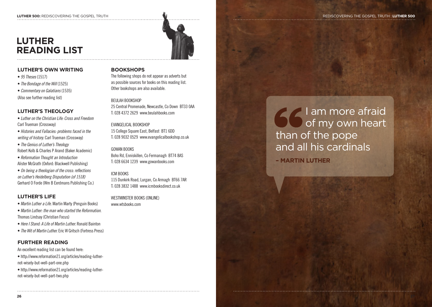#### **LUTHER 500:** REDISCOVERING THE GOSPEL TRUTH  $\blacksquare$





#### **LUTHER'S OWN WRITING**

- *95 Theses* (1517)
- *The Bondage of the Will* (1525)
- *Commentary on Galatians* (1535)

(Also see further reading list)

#### **LUTHER'S THEOLOGY**

- *Luther on the Christian Life: Cross and Freedom* Carl Trueman (Crossway)
- *Histories and Fallacies: problems faced in the writing of history.* Carl Trueman (Crossway)
- *The Genius of Luther's Theology* Robert Kolb & Charles P Arand (Baker Academic)
- *Reformation Thought an Introduction* Alister McGrath (Oxford: Blackwell Publishing)
- *On being a theologian of the cross: reflections on Luther's Heidelberg Disputation (of 1518)* Gerhard O Forde (Wm B Eerdmans Publishing Co.)

#### **LUTHER'S LIFE**

- *Martin Luther a Life.* Martin Marty (Penguin Books)
- *Martin Luther: the man who started the Reformation.* Thomas Lindsay (Christian Focus)
- *Here I Stand: A Life of Martin Luther.* Ronald Bainton
- *The Wit of Martin Luther.* Eric W Gritsch (Fortress Press)

#### **FURTHER READING**

- An excellent reading list can be found here:
- http://www.reformation21.org/articles/reading-luthernot-wisely-but-well-part-one.php
- http://www.reformation21.org/articles/reading-luthernot-wisely-but-well-part-two.php

#### **BOOKSHOPS**

The following shops do not appear as adverts but as possible sources for books on this reading list. Other bookshops are also available.

#### BEULAH BOOKSHOP

25 Central Promenade, Newcastle, Co Down BT33 0AA T: 028 4372 2629 www.beulahbooks.com

EVANGELICAL BOOKSHOP 15 College Square East, Belfast BT1 6DD T: 028 9032 0529 www.evangelicalbookshop.co.uk

#### GOWAN BOOKS

Boho Rd, Enniskillen, Co Fermanagh BT74 8AS T: 028 6634 1239 www.gowanbooks.com

#### ICM BOOKS

115 Dunkirk Road, Lurgan, Co Armagh BT66 7AR T: 028 3832 1488 www.icmbooksdirect.co.uk

WESTMINSTER BOOKS (ONLINE) www.wtsbooks.com

I am more afraid of my own heart than of the pope and all his cardinals **– MARTIN LUTHER**